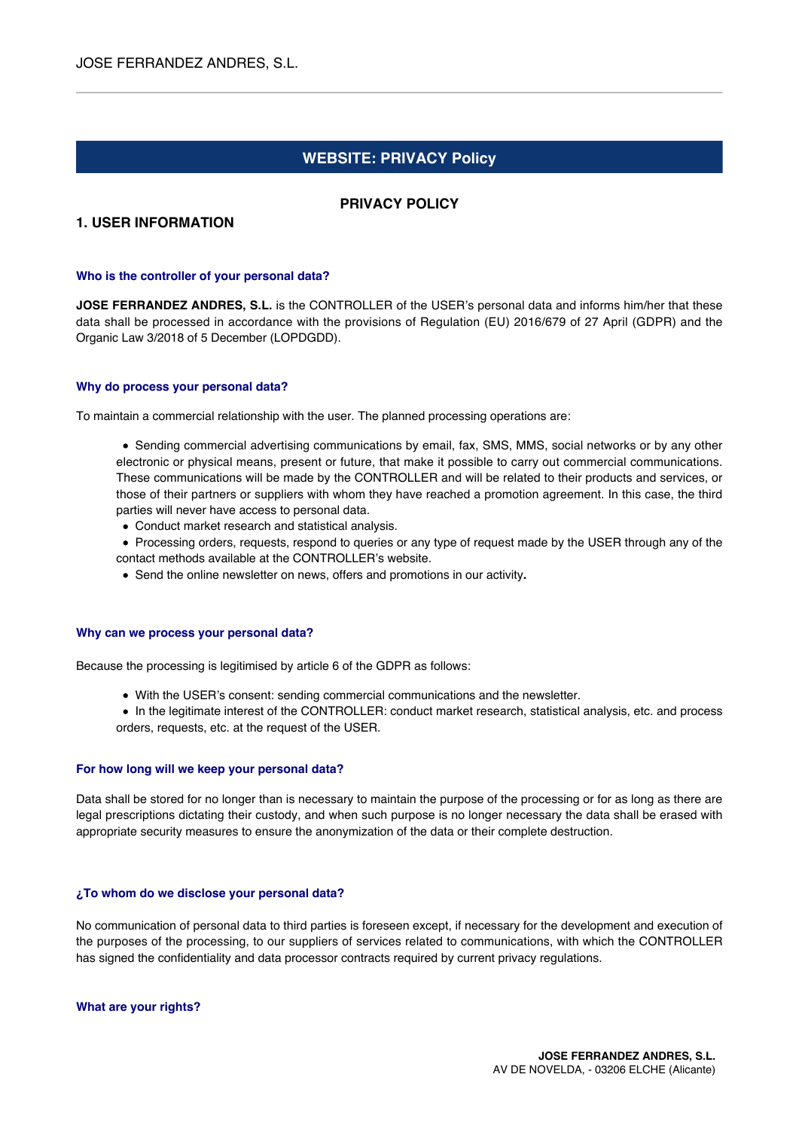# **WEBSITE: PRIVACY Policy**

# **PRIVACY POLICY**

# **1. USER INFORMATION**

#### **Who is the controller of your personal data?**

**JOSE FERRANDEZ ANDRES, S.L.** is the CONTROLLER of the USER's personal data and informs him/her that these data shall be processed in accordance with the provisions of Regulation (EU) 2016/679 of 27 April (GDPR) and the Organic Law 3/2018 of 5 December (LOPDGDD).

#### **Why do process your personal data?**

To maintain a commercial relationship with the user. The planned processing operations are:

• Sending commercial advertising communications by email, fax, SMS, MMS, social networks or by any other electronic or physical means, present or future, that make it possible to carry out commercial communications. These communications will be made by the CONTROLLER and will be related to their products and services, or those of their partners or suppliers with whom they have reached a promotion agreement. In this case, the third parties will never have access to personal data.

- Conduct market research and statistical analysis.
- Processing orders, requests, respond to queries or any type of request made by the USER through any of the contact methods available at the CONTROLLER's website.
- Send the online newsletter on news, offers and promotions in our activity**.**

#### **Why can we process your personal data?**

Because the processing is legitimised by article 6 of the GDPR as follows:

- With the USER's consent: sending commercial communications and the newsletter.
- In the legitimate interest of the CONTROLLER: conduct market research, statistical analysis, etc. and process orders, requests, etc. at the request of the USER.

#### **For how long will we keep your personal data?**

Data shall be stored for no longer than is necessary to maintain the purpose of the processing or for as long as there are legal prescriptions dictating their custody, and when such purpose is no longer necessary the data shall be erased with appropriate security measures to ensure the anonymization of the data or their complete destruction.

#### **¿To whom do we disclose your personal data?**

No communication of personal data to third parties is foreseen except, if necessary for the development and execution of the purposes of the processing, to our suppliers of services related to communications, with which the CONTROLLER has signed the confidentiality and data processor contracts required by current privacy regulations.

**What are your rights?**